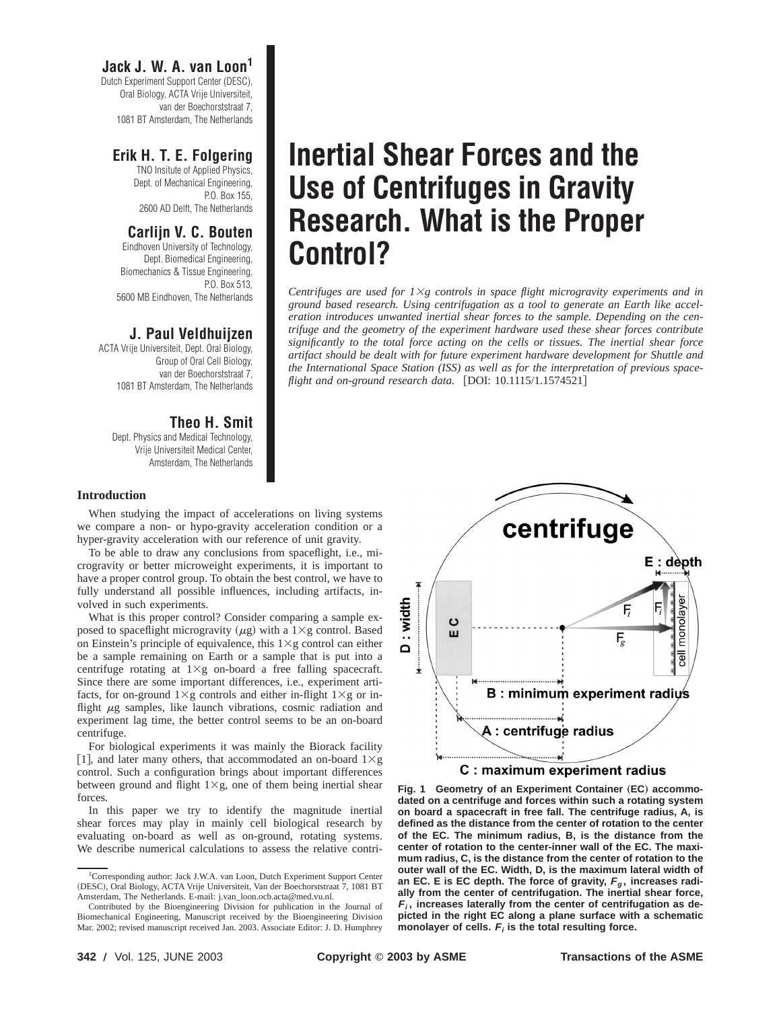**Jack J. W. A. van Loon** Dutch Experiment Support Center (DESC), Oral Biology, ACTA Vrije Universiteit, van der Boechorststraat 7, 1081 BT Amsterdam, The Netherlands

# **Erik H. T. E. Folgering**

TNO Insitute of Applied Physics, Dept. of Mechanical Engineering, P.O. Box 155, 2600 AD Delft, The Netherlands

# **Carlijn V. C. Bouten**

Eindhoven University of Technology, Dept. Biomedical Engineering, Biomechanics & Tissue Engineering, P.O. Box 513, 5600 MB Eindhoven, The Netherlands

## **J. Paul Veldhuijzen**

ACTA Vrije Universiteit, Dept. Oral Biology, Group of Oral Cell Biology, van der Boechorststraat 7, 1081 BT Amsterdam, The Netherlands

## **Theo H. Smit**

Dept. Physics and Medical Technology, Vrije Universiteit Medical Center, Amsterdam, The Netherlands

### **Introduction**

When studying the impact of accelerations on living systems we compare a non- or hypo-gravity acceleration condition or a hyper-gravity acceleration with our reference of unit gravity.

To be able to draw any conclusions from spaceflight, i.e., microgravity or better microweight experiments, it is important to have a proper control group. To obtain the best control, we have to fully understand all possible influences, including artifacts, involved in such experiments.

What is this proper control? Consider comparing a sample exposed to spaceflight microgravity  $(\mu g)$  with a 1×g control. Based on Einstein's principle of equivalence, this  $1 \times g$  control can either be a sample remaining on Earth or a sample that is put into a centrifuge rotating at  $1\times g$  on-board a free falling spacecraft. Since there are some important differences, i.e., experiment artifacts, for on-ground  $1\times g$  controls and either in-flight  $1\times g$  or inflight  $\mu$ g samples, like launch vibrations, cosmic radiation and experiment lag time, the better control seems to be an on-board centrifuge.

For biological experiments it was mainly the Biorack facility [1], and later many others, that accommodated an on-board  $1\times g$ control. Such a configuration brings about important differences between ground and flight  $1\times g$ , one of them being inertial shear forces.

In this paper we try to identify the magnitude inertial shear forces may play in mainly cell biological research by evaluating on-board as well as on-ground, rotating systems. We describe numerical calculations to assess the relative contri-

# **Inertial Shear Forces and the Use of Centrifuges in Gravity Research. What is the Proper Control?**

*Centrifuges are used for 1*3*g controls in space flight microgravity experiments and in ground based research. Using centrifugation as a tool to generate an Earth like acceleration introduces unwanted inertial shear forces to the sample. Depending on the centrifuge and the geometry of the experiment hardware used these shear forces contribute significantly to the total force acting on the cells or tissues. The inertial shear force artifact should be dealt with for future experiment hardware development for Shuttle and the International Space Station (ISS) as well as for the interpretation of previous space* $f$ *light and on-ground research data.*  $[DOI: 10.1115/1.1574521]$ 



Fig. 1 Geometry of an Experiment Container (EC) accommo**dated on a centrifuge and forces within such a rotating system on board a spacecraft in free fall. The centrifuge radius, A, is defined as the distance from the center of rotation to the center of the EC. The minimum radius, B, is the distance from the center of rotation to the center-inner wall of the EC. The maximum radius, C, is the distance from the center of rotation to the outer wall of the EC. Width, D, is the maximum lateral width of** an EC. E is EC depth. The force of gravity,  $F_g$ , increases radi**ally from the center of centrifugation. The inertial shear force,**  $F_i$ , increases laterally from the center of centrifugation as de**picted in the right EC along a plane surface with a schematic monolayer of cells. F<sup>i</sup> is the total resulting force.**

<sup>1</sup> Corresponding author: Jack J.W.A. van Loon, Dutch Experiment Support Center (DESC), Oral Biology, ACTA Vrije Universiteit, Van der Boechorststraat 7, 1081 BT Amsterdam, The Netherlands. E-mail: j.van\_loon.ocb.acta@med.vu.nl.

Contributed by the Bioengineering Division for publication in the Journal of Biomechanical Engineering, Manuscript received by the Bioengineering Division Mar. 2002; revised manuscript received Jan. 2003. Associate Editor: J. D. Humphrey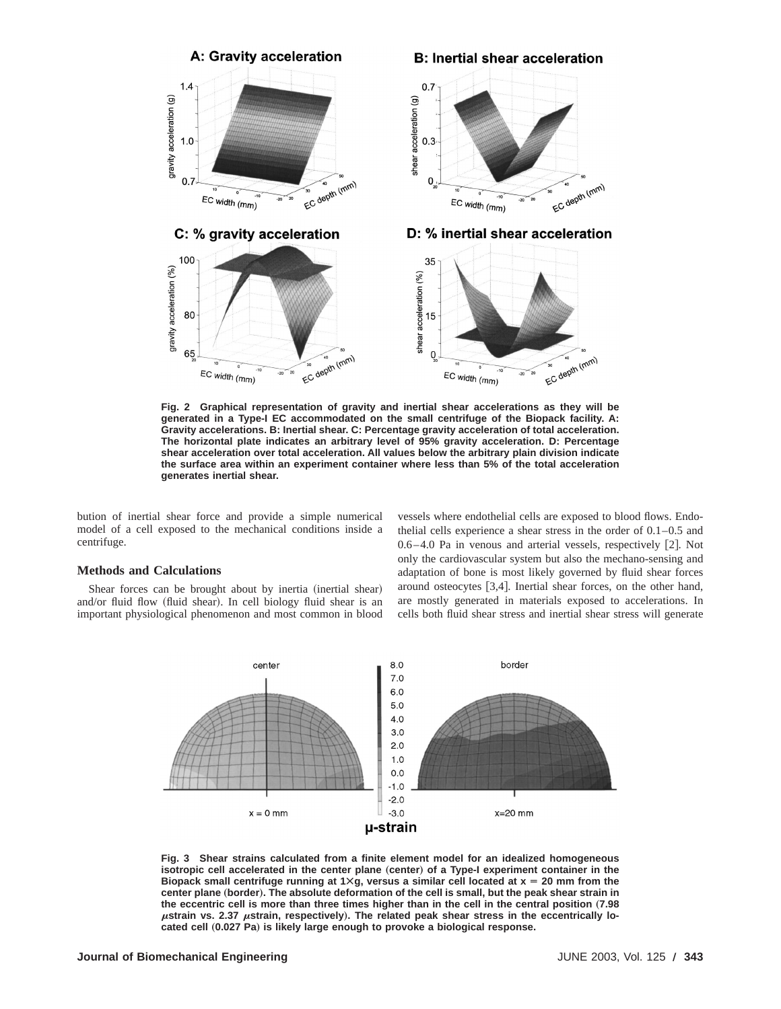

**Fig. 2 Graphical representation of gravity and inertial shear accelerations as they will be generated in a Type-I EC accommodated on the small centrifuge of the Biopack facility. A: Gravity accelerations. B: Inertial shear. C: Percentage gravity acceleration of total acceleration. The horizontal plate indicates an arbitrary level of 95% gravity acceleration. D: Percentage shear acceleration over total acceleration. All values below the arbitrary plain division indicate the surface area within an experiment container where less than 5% of the total acceleration generates inertial shear.**

bution of inertial shear force and provide a simple numerical model of a cell exposed to the mechanical conditions inside a centrifuge.

#### **Methods and Calculations**

Shear forces can be brought about by inertia (inertial shear) and/or fluid flow (fluid shear). In cell biology fluid shear is an important physiological phenomenon and most common in blood

vessels where endothelial cells are exposed to blood flows. Endothelial cells experience a shear stress in the order of 0.1–0.5 and  $0.6-4.0$  Pa in venous and arterial vessels, respectively [2]. Not only the cardiovascular system but also the mechano-sensing and adaptation of bone is most likely governed by fluid shear forces around osteocytes [3,4]. Inertial shear forces, on the other hand, are mostly generated in materials exposed to accelerations. In cells both fluid shear stress and inertial shear stress will generate



**Fig. 3 Shear strains calculated from a finite element model for an idealized homogeneous** isotropic cell accelerated in the center plane (center) of a Type-I experiment container in the Biopack small centrifuge running at  $1 \times g$ , versus a similar cell located at  $x = 20$  mm from the **center plane** "**border**…**. The absolute deformation of the cell is small, but the peak shear strain in the eccentric cell is more than three times higher than in the cell in the central position** "**7.98** µstrain vs. 2.37 µstrain, respectively). The related peak shear stress in the eccentrically located cell (0.027 Pa) is likely large enough to provoke a biological response.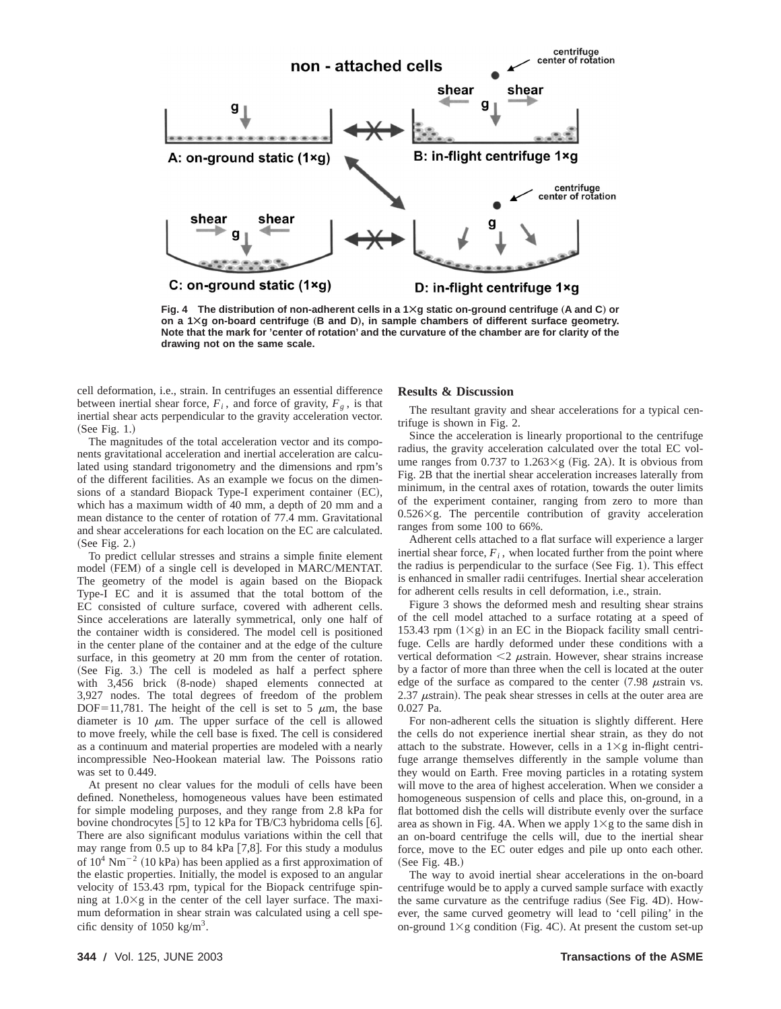

**Fig. 4** The distribution of non-adherent cells in a 1×g static on-ground centrifuge (A and C) or **on a 1** $\times$ **g** on-board centrifuge (B and D), in sample chambers of different surface geometry. **Note that the mark for 'center of rotation' and the curvature of the chamber are for clarity of the drawing not on the same scale.**

cell deformation, i.e., strain. In centrifuges an essential difference between inertial shear force,  $F_i$ , and force of gravity,  $F_g$ , is that inertial shear acts perpendicular to the gravity acceleration vector.  $(See Fig. 1.)$ 

The magnitudes of the total acceleration vector and its components gravitational acceleration and inertial acceleration are calculated using standard trigonometry and the dimensions and rpm's of the different facilities. As an example we focus on the dimensions of a standard Biopack Type-I experiment container  $(EC)$ , which has a maximum width of 40 mm, a depth of 20 mm and a mean distance to the center of rotation of 77.4 mm. Gravitational and shear accelerations for each location on the EC are calculated.  $(See Fig. 2.)$ 

To predict cellular stresses and strains a simple finite element model (FEM) of a single cell is developed in MARC/MENTAT. The geometry of the model is again based on the Biopack Type-I EC and it is assumed that the total bottom of the EC consisted of culture surface, covered with adherent cells. Since accelerations are laterally symmetrical, only one half of the container width is considered. The model cell is positioned in the center plane of the container and at the edge of the culture surface, in this geometry at 20 mm from the center of rotation. (See Fig. 3.) The cell is modeled as half a perfect sphere with  $3,456$  brick  $(8\text{-node})$  shaped elements connected at 3,927 nodes. The total degrees of freedom of the problem DOF=11,781. The height of the cell is set to 5  $\mu$ m, the base diameter is 10  $\mu$ m. The upper surface of the cell is allowed to move freely, while the cell base is fixed. The cell is considered as a continuum and material properties are modeled with a nearly incompressible Neo-Hookean material law. The Poissons ratio was set to 0.449.

At present no clear values for the moduli of cells have been defined. Nonetheless, homogeneous values have been estimated for simple modeling purposes, and they range from 2.8 kPa for bovine chondrocytes  $[5]$  to 12 kPa for TB/C3 hybridoma cells  $[6]$ . There are also significant modulus variations within the cell that may range from  $0.5$  up to  $84$  kPa  $[7,8]$ . For this study a modulus of  $10^4$  Nm<sup>-2</sup> (10 kPa) has been applied as a first approximation of the elastic properties. Initially, the model is exposed to an angular velocity of 153.43 rpm, typical for the Biopack centrifuge spinning at  $1.0\times g$  in the center of the cell layer surface. The maximum deformation in shear strain was calculated using a cell specific density of  $1050 \text{ kg/m}^3$ .

#### **Results & Discussion**

The resultant gravity and shear accelerations for a typical centrifuge is shown in Fig. 2.

Since the acceleration is linearly proportional to the centrifuge radius, the gravity acceleration calculated over the total EC volume ranges from 0.737 to 1.263 $\times$ g (Fig. 2A). It is obvious from Fig. 2B that the inertial shear acceleration increases laterally from minimum, in the central axes of rotation, towards the outer limits of the experiment container, ranging from zero to more than  $0.526\times g$ . The percentile contribution of gravity acceleration ranges from some 100 to 66%.

Adherent cells attached to a flat surface will experience a larger inertial shear force,  $F_i$ , when located further from the point where the radius is perpendicular to the surface (See Fig. 1). This effect is enhanced in smaller radii centrifuges. Inertial shear acceleration for adherent cells results in cell deformation, i.e., strain.

Figure 3 shows the deformed mesh and resulting shear strains of the cell model attached to a surface rotating at a speed of 153.43 rpm  $(1 \times g)$  in an EC in the Biopack facility small centrifuge. Cells are hardly deformed under these conditions with a vertical deformation  $\leq 2$  *μstrain.* However, shear strains increase by a factor of more than three when the cell is located at the outer edge of the surface as compared to the center  $(7.98 \mu s)$  ustrain vs. 2.37  $\mu$ strain). The peak shear stresses in cells at the outer area are 0.027 Pa.

For non-adherent cells the situation is slightly different. Here the cells do not experience inertial shear strain, as they do not attach to the substrate. However, cells in a  $1\times g$  in-flight centrifuge arrange themselves differently in the sample volume than they would on Earth. Free moving particles in a rotating system will move to the area of highest acceleration. When we consider a homogeneous suspension of cells and place this, on-ground, in a flat bottomed dish the cells will distribute evenly over the surface area as shown in Fig. 4A. When we apply  $1 \times g$  to the same dish in an on-board centrifuge the cells will, due to the inertial shear force, move to the EC outer edges and pile up onto each other.  $(See Fig. 4B.)$ 

The way to avoid inertial shear accelerations in the on-board centrifuge would be to apply a curved sample surface with exactly the same curvature as the centrifuge radius (See Fig. 4D). However, the same curved geometry will lead to 'cell piling' in the on-ground  $1\times g$  condition (Fig. 4C). At present the custom set-up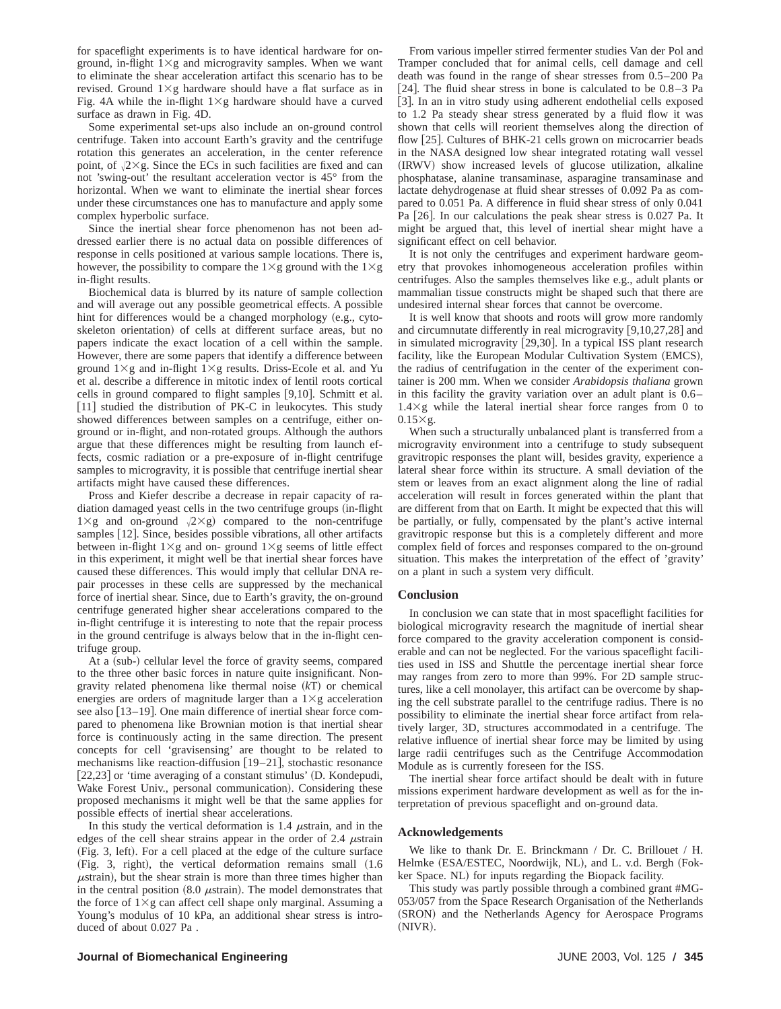for spaceflight experiments is to have identical hardware for onground, in-flight  $1\times g$  and microgravity samples. When we want to eliminate the shear acceleration artifact this scenario has to be revised. Ground  $1\times g$  hardware should have a flat surface as in Fig. 4A while the in-flight  $1\times g$  hardware should have a curved surface as drawn in Fig. 4D.

Some experimental set-ups also include an on-ground control centrifuge. Taken into account Earth's gravity and the centrifuge rotation this generates an acceleration, in the center reference point, of  $\sqrt{2} \times g$ . Since the ECs in such facilities are fixed and can not 'swing-out' the resultant acceleration vector is 45° from the horizontal. When we want to eliminate the inertial shear forces under these circumstances one has to manufacture and apply some complex hyperbolic surface.

Since the inertial shear force phenomenon has not been addressed earlier there is no actual data on possible differences of response in cells positioned at various sample locations. There is, however, the possibility to compare the  $1\times g$  ground with the  $1\times g$ in-flight results.

Biochemical data is blurred by its nature of sample collection and will average out any possible geometrical effects. A possible hint for differences would be a changed morphology (e.g., cytoskeleton orientation) of cells at different surface areas, but no papers indicate the exact location of a cell within the sample. However, there are some papers that identify a difference between ground  $1\times g$  and in-flight  $1\times g$  results. Driss-Ecole et al. and Yu et al. describe a difference in mitotic index of lentil roots cortical cells in ground compared to flight samples [9,10]. Schmitt et al.  $[11]$  studied the distribution of PK-C in leukocytes. This study showed differences between samples on a centrifuge, either onground or in-flight, and non-rotated groups. Although the authors argue that these differences might be resulting from launch effects, cosmic radiation or a pre-exposure of in-flight centrifuge samples to microgravity, it is possible that centrifuge inertial shear artifacts might have caused these differences.

Pross and Kiefer describe a decrease in repair capacity of radiation damaged yeast cells in the two centrifuge groups (in-flight  $1\times$ g and on-ground  $(2\times$ g) compared to the non-centrifuge samples  $[12]$ . Since, besides possible vibrations, all other artifacts between in-flight  $1\times g$  and on- ground  $1\times g$  seems of little effect in this experiment, it might well be that inertial shear forces have caused these differences. This would imply that cellular DNA repair processes in these cells are suppressed by the mechanical force of inertial shear. Since, due to Earth's gravity, the on-ground centrifuge generated higher shear accelerations compared to the in-flight centrifuge it is interesting to note that the repair process in the ground centrifuge is always below that in the in-flight centrifuge group.

At a (sub-) cellular level the force of gravity seems, compared to the three other basic forces in nature quite insignificant. Nongravity related phenomena like thermal noise  $(kT)$  or chemical energies are orders of magnitude larger than a  $1\times g$  acceleration see also [13–19]. One main difference of inertial shear force compared to phenomena like Brownian motion is that inertial shear force is continuously acting in the same direction. The present concepts for cell 'gravisensing' are thought to be related to mechanisms like reaction-diffusion  $[19–21]$ , stochastic resonance  $[22,23]$  or 'time averaging of a constant stimulus' (D. Kondepudi, Wake Forest Univ., personal communication). Considering these proposed mechanisms it might well be that the same applies for possible effects of inertial shear accelerations.

In this study the vertical deformation is  $1.4 \mu$ strain, and in the edges of the cell shear strains appear in the order of 2.4  $\mu$ strain (Fig. 3, left). For a cell placed at the edge of the culture surface  $(Fig. 3, right)$ , the vertical deformation remains small  $(1.6)$  $\mu$ strain), but the shear strain is more than three times higher than in the central position  $(8.0 \mu \text{strain})$ . The model demonstrates that the force of  $1\times g$  can affect cell shape only marginal. Assuming a Young's modulus of 10 kPa, an additional shear stress is introduced of about 0.027 Pa .

From various impeller stirred fermenter studies Van der Pol and Tramper concluded that for animal cells, cell damage and cell death was found in the range of shear stresses from 0.5–200 Pa [24]. The fluid shear stress in bone is calculated to be  $0.8-3$  Pa [3]. In an in vitro study using adherent endothelial cells exposed to 1.2 Pa steady shear stress generated by a fluid flow it was shown that cells will reorient themselves along the direction of flow [25]. Cultures of BHK-21 cells grown on microcarrier beads in the NASA designed low shear integrated rotating wall vessel (IRWV) show increased levels of glucose utilization, alkaline phosphatase, alanine transaminase, asparagine transaminase and lactate dehydrogenase at fluid shear stresses of 0.092 Pa as compared to 0.051 Pa. A difference in fluid shear stress of only 0.041 Pa [26]. In our calculations the peak shear stress is 0.027 Pa. It might be argued that, this level of inertial shear might have a significant effect on cell behavior.

It is not only the centrifuges and experiment hardware geometry that provokes inhomogeneous acceleration profiles within centrifuges. Also the samples themselves like e.g., adult plants or mammalian tissue constructs might be shaped such that there are undesired internal shear forces that cannot be overcome.

It is well know that shoots and roots will grow more randomly and circumnutate differently in real microgravity  $[9,10,27,28]$  and in simulated microgravity [29,30]. In a typical ISS plant research facility, like the European Modular Cultivation System (EMCS), the radius of centrifugation in the center of the experiment container is 200 mm. When we consider *Arabidopsis thaliana* grown in this facility the gravity variation over an adult plant is 0.6–  $1.4\times$ g while the lateral inertial shear force ranges from 0 to  $0.15\times g$ .

When such a structurally unbalanced plant is transferred from a microgravity environment into a centrifuge to study subsequent gravitropic responses the plant will, besides gravity, experience a lateral shear force within its structure. A small deviation of the stem or leaves from an exact alignment along the line of radial acceleration will result in forces generated within the plant that are different from that on Earth. It might be expected that this will be partially, or fully, compensated by the plant's active internal gravitropic response but this is a completely different and more complex field of forces and responses compared to the on-ground situation. This makes the interpretation of the effect of 'gravity' on a plant in such a system very difficult.

#### **Conclusion**

In conclusion we can state that in most spaceflight facilities for biological microgravity research the magnitude of inertial shear force compared to the gravity acceleration component is considerable and can not be neglected. For the various spaceflight facilities used in ISS and Shuttle the percentage inertial shear force may ranges from zero to more than 99%. For 2D sample structures, like a cell monolayer, this artifact can be overcome by shaping the cell substrate parallel to the centrifuge radius. There is no possibility to eliminate the inertial shear force artifact from relatively larger, 3D, structures accommodated in a centrifuge. The relative influence of inertial shear force may be limited by using large radii centrifuges such as the Centrifuge Accommodation Module as is currently foreseen for the ISS.

The inertial shear force artifact should be dealt with in future missions experiment hardware development as well as for the interpretation of previous spaceflight and on-ground data.

#### **Acknowledgements**

We like to thank Dr. E. Brinckmann / Dr. C. Brillouet / H. Helmke (ESA/ESTEC, Noordwijk, NL), and L. v.d. Bergh (Fokker Space. NL) for inputs regarding the Biopack facility.

This study was partly possible through a combined grant #MG-053/057 from the Space Research Organisation of the Netherlands (SRON) and the Netherlands Agency for Aerospace Programs  $(NIVR)$ .